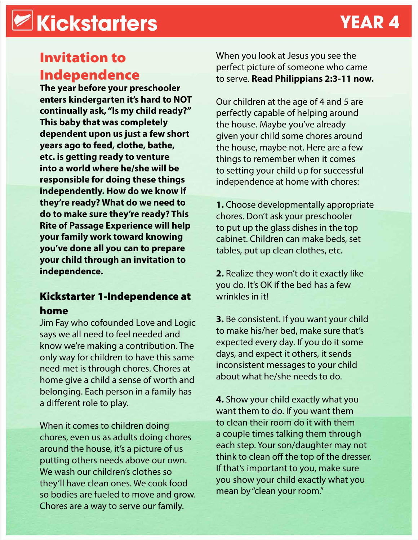# **Kickstarters YEAR 4**

## Invitation to Independence

**The year before your preschooler enters kindergarten it's hard to NOT continually ask, "Is my child ready?" This baby that was completely dependent upon us just a few short years ago to feed, clothe, bathe, etc. is getting ready to venture into a world where he/she will be responsible for doing these things independently. How do we know if they're ready? What do we need to do to make sure they're ready? This Rite of Passage Experience will help your family work toward knowing you've done all you can to prepare your child through an invitation to independence.**

### Kickstarter 1-Independence at home

Jim Fay who cofounded Love and Logic says we all need to feel needed and know we're making a contribution. The only way for children to have this same need met is through chores. Chores at home give a child a sense of worth and belonging. Each person in a family has a different role to play.

When it comes to children doing chores, even us as adults doing chores around the house, it's a picture of us putting others needs above our own. We wash our children's clothes so they'll have clean ones. We cook food so bodies are fueled to move and grow. Chores are a way to serve our family.

When you look at Jesus you see the perfect picture of someone who came to serve. **Read Philippians 2:3-11 now.** 

Our children at the age of 4 and 5 are perfectly capable of helping around the house. Maybe you've already given your child some chores around the house, maybe not. Here are a few things to remember when it comes to setting your child up for successful independence at home with chores:

**1.** Choose developmentally appropriate chores. Don't ask your preschooler to put up the glass dishes in the top cabinet. Children can make beds, set tables, put up clean clothes, etc.

**2.** Realize they won't do it exactly like you do. It's OK if the bed has a few wrinkles in it!

**3.** Be consistent. If you want your child to make his/her bed, make sure that's expected every day. If you do it some days, and expect it others, it sends inconsistent messages to your child about what he/she needs to do.

**4.** Show your child exactly what you want them to do. If you want them to clean their room do it with them a couple times talking them through each step. Your son/daughter may not think to clean off the top of the dresser. If that's important to you, make sure you show your child exactly what you mean by "clean your room."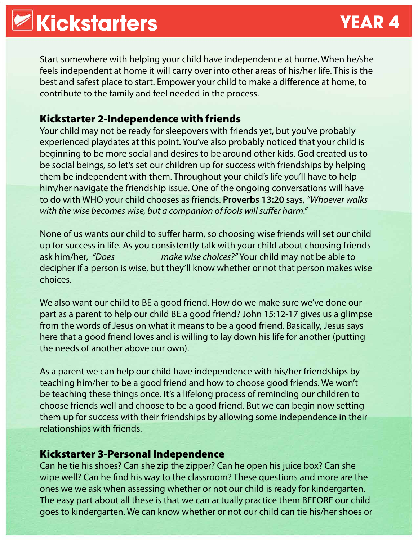Start somewhere with helping your child have independence at home. When he/she feels independent at home it will carry over into other areas of his/her life. This is the best and safest place to start. Empower your child to make a difference at home, to contribute to the family and feel needed in the process.

#### Kickstarter 2-Independence with friends

Your child may not be ready for sleepovers with friends yet, but you've probably experienced playdates at this point. You've also probably noticed that your child is beginning to be more social and desires to be around other kids. God created us to be social beings, so let's set our children up for success with friendships by helping them be independent with them. Throughout your child's life you'll have to help him/her navigate the friendship issue. One of the ongoing conversations will have to do with WHO your child chooses as friends. **Proverbs 13:20** says, *"Whoever walks with the wise becomes wise, but a companion of fools will suffer harm."*

None of us wants our child to suffer harm, so choosing wise friends will set our child up for success in life. As you consistently talk with your child about choosing friends ask him/her, *"Does \_\_\_\_\_\_\_\_\_ make wise choices?"* Your child may not be able to decipher if a person is wise, but they'll know whether or not that person makes wise choices.

We also want our child to BE a good friend. How do we make sure we've done our part as a parent to help our child BE a good friend? John 15:12-17 gives us a glimpse from the words of Jesus on what it means to be a good friend. Basically, Jesus says here that a good friend loves and is willing to lay down his life for another (putting the needs of another above our own).

As a parent we can help our child have independence with his/her friendships by teaching him/her to be a good friend and how to choose good friends. We won't be teaching these things once. It's a lifelong process of reminding our children to choose friends well and choose to be a good friend. But we can begin now setting them up for success with their friendships by allowing some independence in their relationships with friends.

#### Kickstarter 3-Personal Independence

Can he tie his shoes? Can she zip the zipper? Can he open his juice box? Can she wipe well? Can he find his way to the classroom? These questions and more are the ones we we ask when assessing whether or not our child is ready for kindergarten. The easy part about all these is that we can actually practice them BEFORE our child goes to kindergarten. We can know whether or not our child can tie his/her shoes or